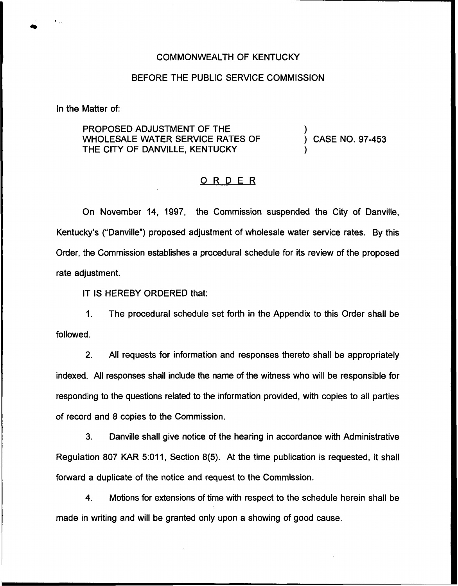#### COMMONWEALTH OF KENTUCKY

### BEFORE THE PUBLIC SERVICE COMMISSION

In the Matter of:

PROPOSED ADJUSTMENT OF THE WHOLESALE WATER SERVICE RATES OF THE CITY OF DANVILLE, KENTUCKY

) CASE NO. 97-453

)

)

### ORDER

On November 14, 1997, the Commission suspended the City of Danville, Kentucky's ("Danville") proposed adjustment of wholesale water service rates. By this Order, the Commission establishes a procedural schedule for its review of the proposed rate adjustment.

IT IS HEREBY ORDERED that:

1. The procedural schedule set forth in the Appendix to this Order shall be followed.

2. All requests for information and responses thereto shall be appropriately indexed. All responses shall include the name of the witness who will be responsible for responding to the questions related to the information provided, with copies to all parties of record and 8 copies to the Commission.

3. Danville shall give notice of the hearing in accordance with Administrative Regulation 807 KAR 5:011, Section 8(5). At the time publication is requested, it shall forward a duplicate of the notice and request to the Commission.

4. Motions for extensions of time with respect to the schedule herein shall be made in writing and will be granted only upon a showing of good cause.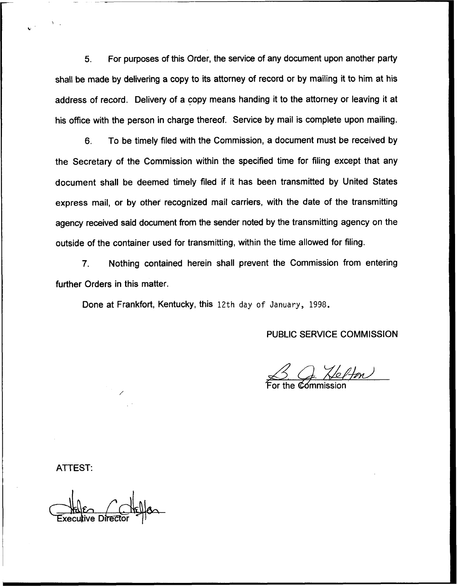5. For purposes of this Order, the service of any document upon another party shall be made by delivering a copy to its attorney of record or by mailing it to him at his address of record. Delivery of a copy means handing it to the attorney or leaving it at his office with the person in charge thereof. Service by mail is complete upon mailing.

6. To be timely filed with the Commission, a document must be received by the Secretary of the Commission within the specified time for filing except that any document shall be deemed timely filed if it has been transmitted by United States express mail, or by other recognized mail carriers, with the date of the transmitting agency received said document from the sender noted by the transmitting agency on the outside of the container used for transmitting, within the time allowed for filing.

7. Nothing contained herein shall prevent the Commission from entering further Orders in this matter.

Done at Frankfort, Kentucky, this 12th day of January, 1998.

## PUBLIC SERVICE COMMISSION

 $3.9.$  Helton

ATTEST:

tive Directo